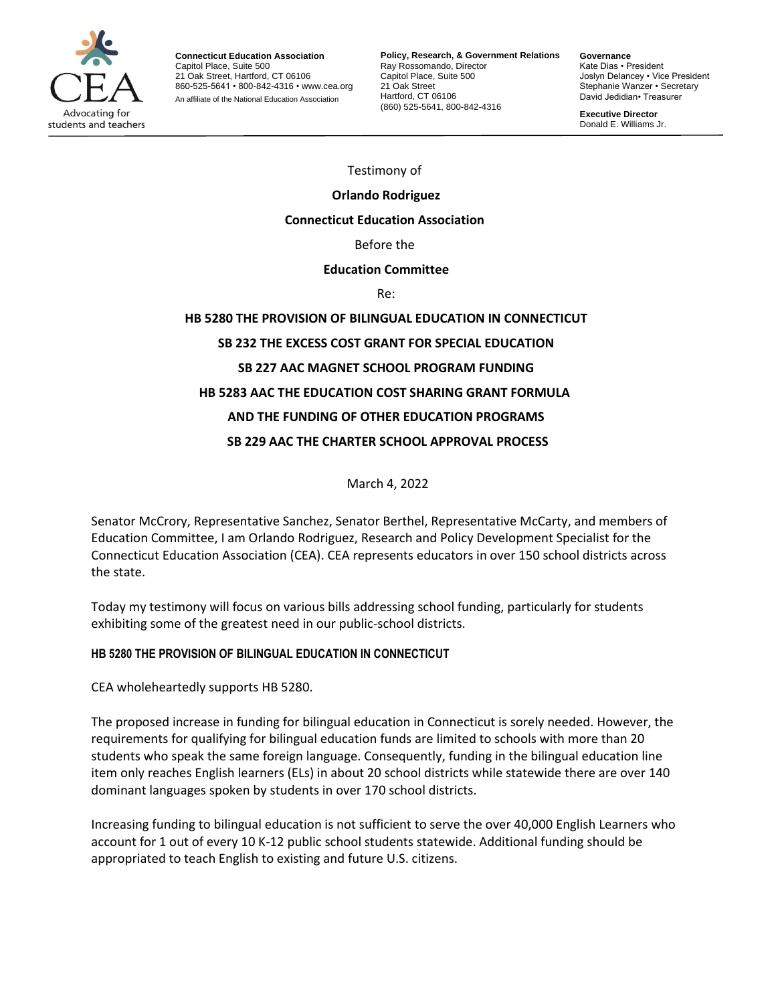

**Connecticut Education Association** Capitol Place, Suite 500 21 Oak Street, Hartford, CT 06106 860-525-5641 • 800-842-4316 • [www.cea.org](http://www.cea.org/) An affiliate of the National Education Association

**Policy, Research, & Government Relations** Ray Rossomando, Director Capitol Place, Suite 500 21 Oak Street Hartford, CT 06106 (860) 525-5641, 800-842-4316

**Governance** Kate Dias • President Joslyn Delancey • Vice President Stephanie Wanzer • Secretary David Jedidian• Treasurer

**Executive Director**  Donald E. Williams Jr.

.

Testimony of

# **Orlando Rodriguez**

#### **Connecticut Education Association**

#### Before the

#### **Education Committee**

Re:

# **HB 5280 THE PROVISION OF BILINGUAL EDUCATION IN CONNECTICUT SB 232 THE EXCESS COST GRANT FOR SPECIAL EDUCATION SB 227 AAC MAGNET SCHOOL PROGRAM FUNDING HB 5283 AAC THE EDUCATION COST SHARING GRANT FORMULA AND THE FUNDING OF OTHER EDUCATION PROGRAMS SB 229 AAC THE CHARTER SCHOOL APPROVAL PROCESS**

March 4, 2022

Senator McCrory, Representative Sanchez, Senator Berthel, Representative McCarty, and members of Education Committee, I am Orlando Rodriguez, Research and Policy Development Specialist for the Connecticut Education Association (CEA). CEA represents educators in over 150 school districts across the state.

Today my testimony will focus on various bills addressing school funding, particularly for students exhibiting some of the greatest need in our public-school districts.

## **HB 5280 THE PROVISION OF BILINGUAL EDUCATION IN CONNECTICUT**

CEA wholeheartedly supports HB 5280.

The proposed increase in funding for bilingual education in Connecticut is sorely needed. However, the requirements for qualifying for bilingual education funds are limited to schools with more than 20 students who speak the same foreign language. Consequently, funding in the bilingual education line item only reaches English learners (ELs) in about 20 school districts while statewide there are over 140 dominant languages spoken by students in over 170 school districts.

Increasing funding to bilingual education is not sufficient to serve the over 40,000 English Learners who account for 1 out of every 10 K-12 public school students statewide. Additional funding should be appropriated to teach English to existing and future U.S. citizens.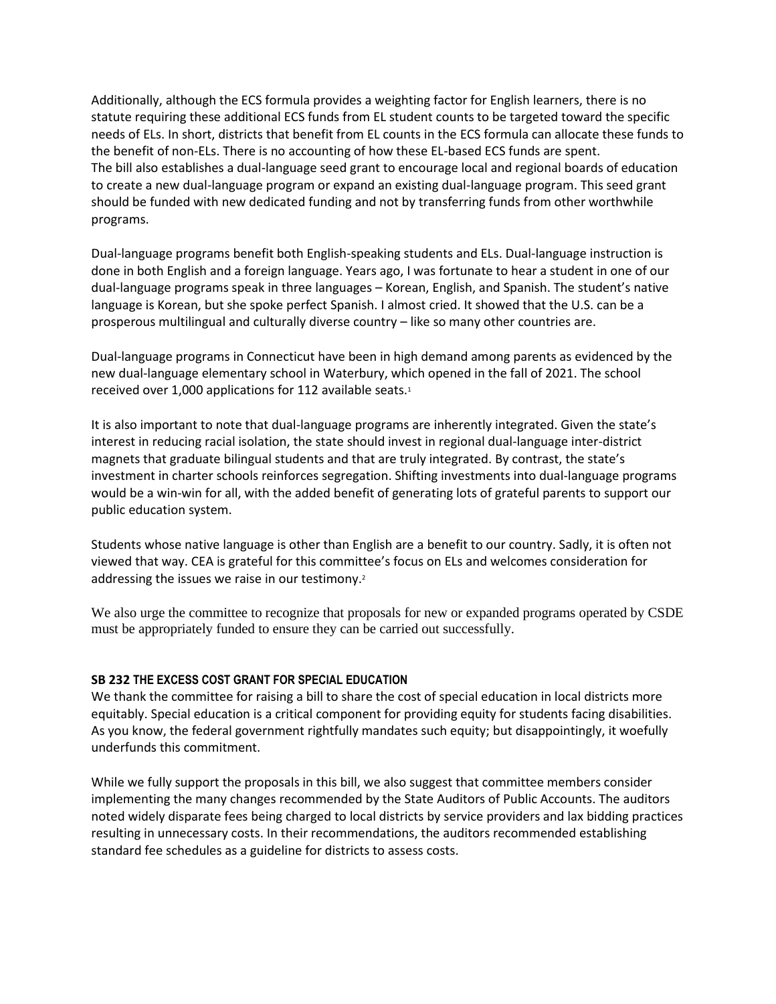Additionally, although the ECS formula provides a weighting factor for English learners, there is no statute requiring these additional ECS funds from EL student counts to be targeted toward the specific needs of ELs. In short, districts that benefit from EL counts in the ECS formula can allocate these funds to the benefit of non-ELs. There is no accounting of how these EL-based ECS funds are spent. The bill also establishes a dual-language seed grant to encourage local and regional boards of education to create a new dual-language program or expand an existing dual-language program. This seed grant should be funded with new dedicated funding and not by transferring funds from other worthwhile programs.

Dual-language programs benefit both English-speaking students and ELs. Dual-language instruction is done in both English and a foreign language. Years ago, I was fortunate to hear a student in one of our dual-language programs speak in three languages – Korean, English, and Spanish. The student's native language is Korean, but she spoke perfect Spanish. I almost cried. It showed that the U.S. can be a prosperous multilingual and culturally diverse country – like so many other countries are.

Dual-language programs in Connecticut have been in high demand among parents as evidenced by the new dual-language elementary school in Waterbury, which opened in the fall of 2021. The school received over 1,000 applications for 112 available seats.<sup>1</sup>

It is also important to note that dual-language programs are inherently integrated. Given the state's interest in reducing racial isolation, the state should invest in regional dual-language inter-district magnets that graduate bilingual students and that are truly integrated. By contrast, the state's investment in charter schools reinforces segregation. Shifting investments into dual-language programs would be a win-win for all, with the added benefit of generating lots of grateful parents to support our public education system.

Students whose native language is other than English are a benefit to our country. Sadly, it is often not viewed that way. CEA is grateful for this committee's focus on ELs and welcomes consideration for addressing the issues we raise in our testimony.<sup>2</sup>

We also urge the committee to recognize that proposals for new or expanded programs operated by CSDE must be appropriately funded to ensure they can be carried out successfully.

## **SB 232 THE EXCESS COST GRANT FOR SPECIAL EDUCATION**

We thank the committee for raising a bill to share the cost of special education in local districts more equitably. Special education is a critical component for providing equity for students facing disabilities. As you know, the federal government rightfully mandates such equity; but disappointingly, it woefully underfunds this commitment.

While we fully support the proposals in this bill, we also suggest that committee members consider implementing the many changes recommended by the State Auditors of Public Accounts. The auditors noted widely disparate fees being charged to local districts by service providers and lax bidding practices resulting in unnecessary costs. In their recommendations, the auditors recommended establishing standard fee schedules as a guideline for districts to assess costs.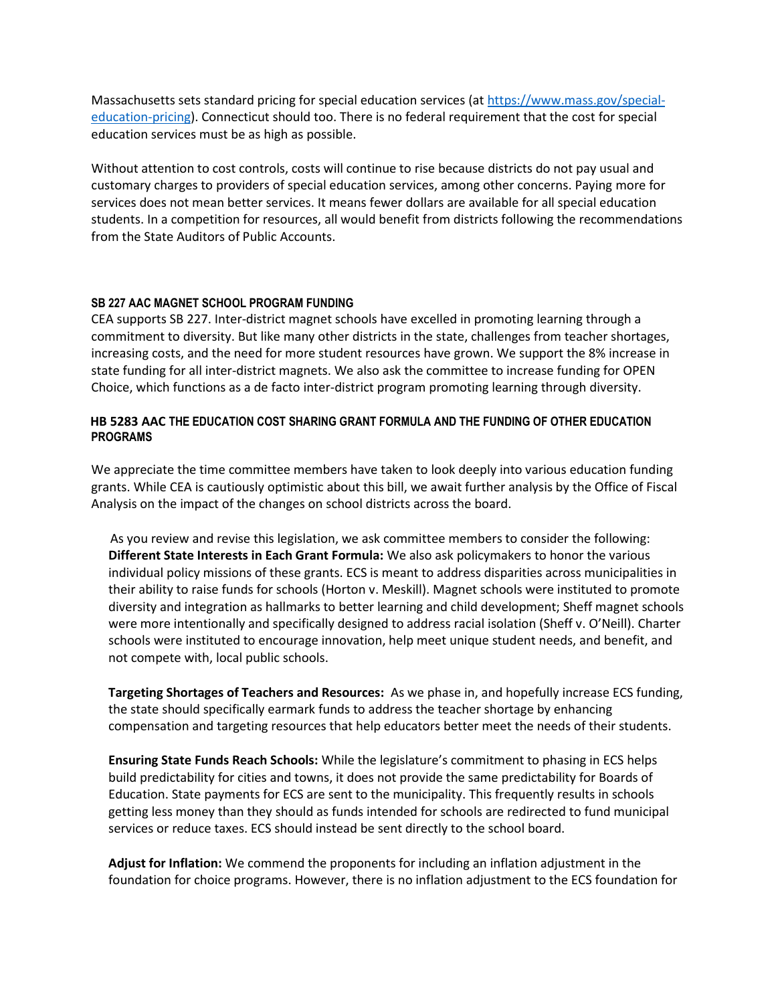Massachusetts sets standard pricing for special education services (a[t https://www.mass.gov/special](https://www.mass.gov/special-education-pricing)[education-pricing\)](https://www.mass.gov/special-education-pricing). Connecticut should too. There is no federal requirement that the cost for special education services must be as high as possible.

Without attention to cost controls, costs will continue to rise because districts do not pay usual and customary charges to providers of special education services, among other concerns. Paying more for services does not mean better services. It means fewer dollars are available for all special education students. In a competition for resources, all would benefit from districts following the recommendations from the State Auditors of Public Accounts.

## **SB 227 AAC MAGNET SCHOOL PROGRAM FUNDING**

CEA supports SB 227. Inter-district magnet schools have excelled in promoting learning through a commitment to diversity. But like many other districts in the state, challenges from teacher shortages, increasing costs, and the need for more student resources have grown. We support the 8% increase in state funding for all inter-district magnets. We also ask the committee to increase funding for OPEN Choice, which functions as a de facto inter-district program promoting learning through diversity.

# **HB 5283 AAC THE EDUCATION COST SHARING GRANT FORMULA AND THE FUNDING OF OTHER EDUCATION PROGRAMS**

We appreciate the time committee members have taken to look deeply into various education funding grants. While CEA is cautiously optimistic about this bill, we await further analysis by the Office of Fiscal Analysis on the impact of the changes on school districts across the board.

 As you review and revise this legislation, we ask committee members to consider the following: **Different State Interests in Each Grant Formula:** We also ask policymakers to honor the various individual policy missions of these grants. ECS is meant to address disparities across municipalities in their ability to raise funds for schools (Horton v. Meskill). Magnet schools were instituted to promote diversity and integration as hallmarks to better learning and child development; Sheff magnet schools were more intentionally and specifically designed to address racial isolation (Sheff v. O'Neill). Charter schools were instituted to encourage innovation, help meet unique student needs, and benefit, and not compete with, local public schools.

**Targeting Shortages of Teachers and Resources:** As we phase in, and hopefully increase ECS funding, the state should specifically earmark funds to address the teacher shortage by enhancing compensation and targeting resources that help educators better meet the needs of their students.

**Ensuring State Funds Reach Schools:** While the legislature's commitment to phasing in ECS helps build predictability for cities and towns, it does not provide the same predictability for Boards of Education. State payments for ECS are sent to the municipality. This frequently results in schools getting less money than they should as funds intended for schools are redirected to fund municipal services or reduce taxes. ECS should instead be sent directly to the school board.

**Adjust for Inflation:** We commend the proponents for including an inflation adjustment in the foundation for choice programs. However, there is no inflation adjustment to the ECS foundation for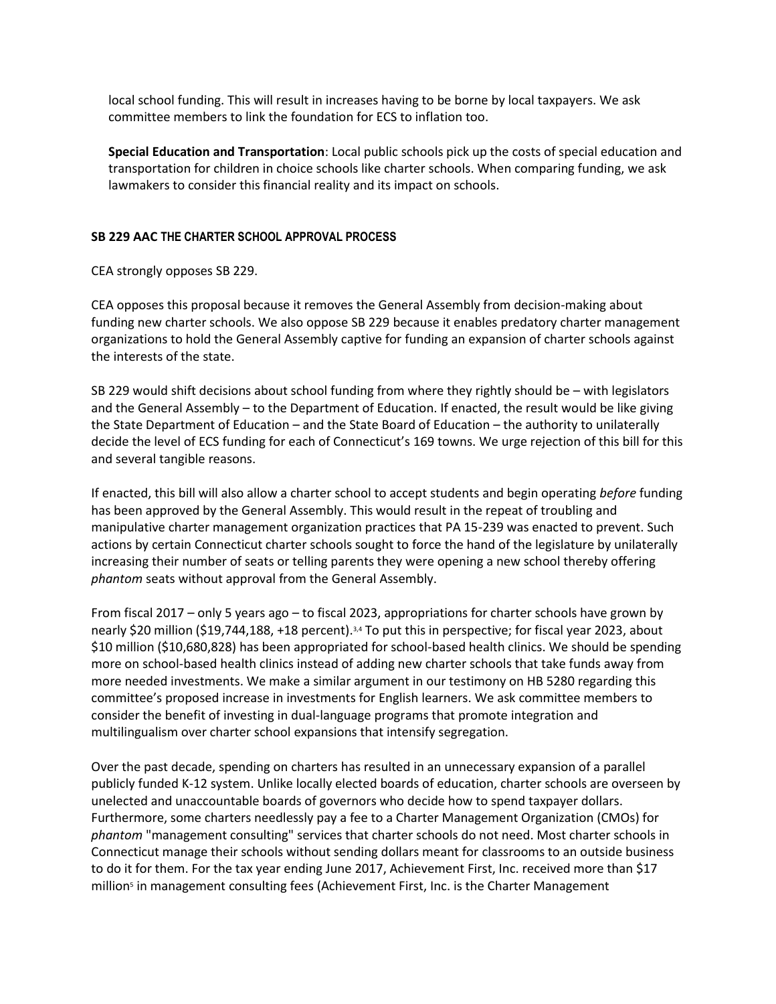local school funding. This will result in increases having to be borne by local taxpayers. We ask committee members to link the foundation for ECS to inflation too.

**Special Education and Transportation**: Local public schools pick up the costs of special education and transportation for children in choice schools like charter schools. When comparing funding, we ask lawmakers to consider this financial reality and its impact on schools.

# **SB 229 AAC THE CHARTER SCHOOL APPROVAL PROCESS**

CEA strongly opposes SB 229.

CEA opposes this proposal because it removes the General Assembly from decision-making about funding new charter schools. We also oppose SB 229 because it enables predatory charter management organizations to hold the General Assembly captive for funding an expansion of charter schools against the interests of the state.

SB 229 would shift decisions about school funding from where they rightly should be – with legislators and the General Assembly – to the Department of Education. If enacted, the result would be like giving the State Department of Education – and the State Board of Education – the authority to unilaterally decide the level of ECS funding for each of Connecticut's 169 towns. We urge rejection of this bill for this and several tangible reasons.

If enacted, this bill will also allow a charter school to accept students and begin operating *before* funding has been approved by the General Assembly. This would result in the repeat of troubling and manipulative charter management organization practices that PA 15-239 was enacted to prevent. Such actions by certain Connecticut charter schools sought to force the hand of the legislature by unilaterally increasing their number of seats or telling parents they were opening a new school thereby offering *phantom* seats without approval from the General Assembly.

From fiscal 2017 – only 5 years ago – to fiscal 2023, appropriations for charter schools have grown by nearly \$20 million (\$19,744,188, +18 percent).3,4 To put this in perspective; for fiscal year 2023, about \$10 million (\$10,680,828) has been appropriated for school-based health clinics. We should be spending more on school-based health clinics instead of adding new charter schools that take funds away from more needed investments. We make a similar argument in our testimony on HB 5280 regarding this committee's proposed increase in investments for English learners. We ask committee members to consider the benefit of investing in dual-language programs that promote integration and multilingualism over charter school expansions that intensify segregation.

Over the past decade, spending on charters has resulted in an unnecessary expansion of a parallel publicly funded K-12 system. Unlike locally elected boards of education, charter schools are overseen by unelected and unaccountable boards of governors who decide how to spend taxpayer dollars. Furthermore, some charters needlessly pay a fee to a Charter Management Organization (CMOs) for *phantom* "management consulting" services that charter schools do not need. Most charter schools in Connecticut manage their schools without sending dollars meant for classrooms to an outside business to do it for them. For the tax year ending June 2017, Achievement First, Inc. received more than \$17 million<sup>s</sup> in management consulting fees (Achievement First, Inc. is the Charter Management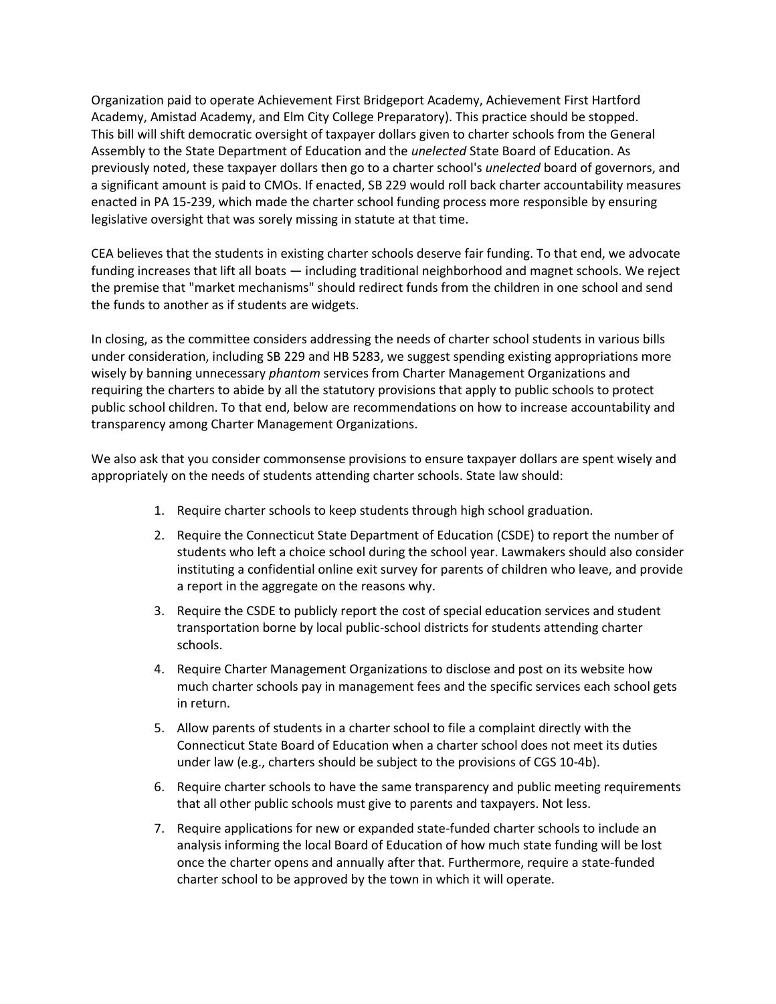Organization paid to operate Achievement First Bridgeport Academy, Achievement First Hartford Academy, Amistad Academy, and Elm City College Preparatory). This practice should be stopped. This bill will shift democratic oversight of taxpayer dollars given to charter schools from the General Assembly to the State Department of Education and the *unelected* State Board of Education. As previously noted, these taxpayer dollars then go to a charter school's *unelected* board of governors, and a significant amount is paid to CMOs. If enacted, SB 229 would roll back charter accountability measures enacted in PA 15-239, which made the charter school funding process more responsible by ensuring legislative oversight that was sorely missing in statute at that time.

CEA believes that the students in existing charter schools deserve fair funding. To that end, we advocate funding increases that lift all boats — including traditional neighborhood and magnet schools. We reject the premise that "market mechanisms" should redirect funds from the children in one school and send the funds to another as if students are widgets.

In closing, as the committee considers addressing the needs of charter school students in various bills under consideration, including SB 229 and HB 5283, we suggest spending existing appropriations more wisely by banning unnecessary *phantom* services from Charter Management Organizations and requiring the charters to abide by all the statutory provisions that apply to public schools to protect public school children. To that end, below are recommendations on how to increase accountability and transparency among Charter Management Organizations.

We also ask that you consider commonsense provisions to ensure taxpayer dollars are spent wisely and appropriately on the needs of students attending charter schools. State law should:

- 1. Require charter schools to keep students through high school graduation.
- 2. Require the Connecticut State Department of Education (CSDE) to report the number of students who left a choice school during the school year. Lawmakers should also consider instituting a confidential online exit survey for parents of children who leave, and provide a report in the aggregate on the reasons why.
- 3. Require the CSDE to publicly report the cost of special education services and student transportation borne by local public-school districts for students attending charter schools.
- 4. Require Charter Management Organizations to disclose and post on its website how much charter schools pay in management fees and the specific services each school gets in return.
- 5. Allow parents of students in a charter school to file a complaint directly with the Connecticut State Board of Education when a charter school does not meet its duties under law (e.g., charters should be subject to the provisions of CGS 10-4b).
- 6. Require charter schools to have the same transparency and public meeting requirements that all other public schools must give to parents and taxpayers. Not less.
- 7. Require applications for new or expanded state-funded charter schools to include an analysis informing the local Board of Education of how much state funding will be lost once the charter opens and annually after that. Furthermore, require a state-funded charter school to be approved by the town in which it will operate.